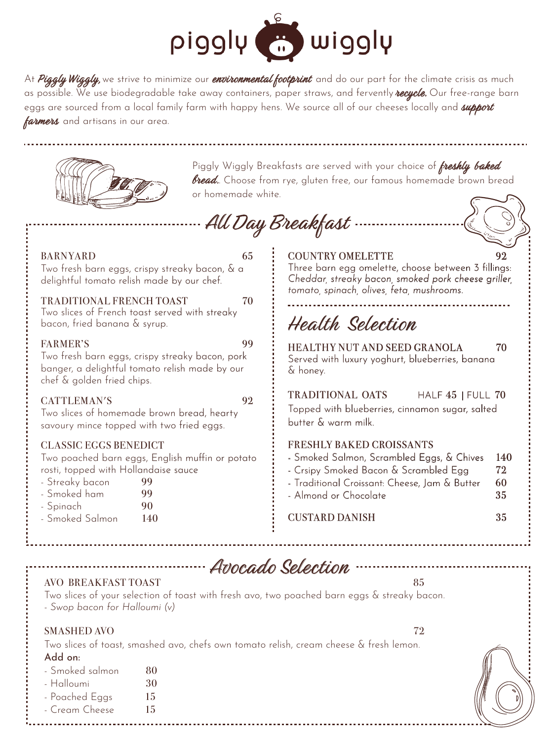

At Piggly Wiggly, we strive to minimize our environmental footprint and do our part for the climate crisis as much as possible. We use biodegradable take away containers, paper straws, and fervently **recycle.** Our free-range barn eggs are sourced from a local family farm with happy hens. We source all of our cheeses locally and *support* farmers and artisans in our area.



Piggly Wiggly Breakfasts are served with your choice of freshly baked **bread.** Choose from rye, gluten free, our famous homemade brown bread or homemade white.



| <b>BARNYARD</b><br>65<br>Two fresh barn eggs, crispy streaky bacon, & a<br>delightful tomato relish made by our chef.                                                                                               | <b>COUNTRY OMELETTE</b><br>92<br>Three barn egg omelette, choose between 3 fillings:<br>Cheddar, streaky bacon, smoked pork cheese griller,<br>tomato, spinach, olives, feta, mushrooms.                                                                |
|---------------------------------------------------------------------------------------------------------------------------------------------------------------------------------------------------------------------|---------------------------------------------------------------------------------------------------------------------------------------------------------------------------------------------------------------------------------------------------------|
| TRADITIONAL FRENCH TOAST<br>70<br>Two slices of French toast served with streaky<br>bacon, fried banana & syrup.                                                                                                    | Health Selection                                                                                                                                                                                                                                        |
| <b>FARMER'S</b><br>99<br>Two fresh barn eggs, crispy streaky bacon, pork<br>banger, a delightful tomato relish made by our<br>chef & golden fried chips.                                                            | <b>HEALTHY NUT AND SEED GRANOLA</b><br>70<br>Served with luxury yoghurt, blueberries, banana<br>& honey.                                                                                                                                                |
| CATTLEMAN'S<br>92<br>Two slices of homemade brown bread, hearty<br>savoury mince topped with two fried eggs.                                                                                                        | TRADITIONAL OATS<br>HALF 45   FULL 70<br>Topped with blueberries, cinnamon sugar, salted<br>butter & warm milk.                                                                                                                                         |
| <b>CLASSIC EGGS BENEDICT</b><br>Two poached barn eggs, English muffin or potato<br>rosti, topped with Hollandaise sauce<br>- Streaky bacon<br>99<br>- Smoked ham<br>99<br>- Spinach<br>90<br>- Smoked Salmon<br>140 | <b>FRESHLY BAKED CROISSANTS</b><br>- Smoked Salmon, Scrambled Eggs, & Chives<br>140<br>- Crsipy Smoked Bacon & Scrambled Egg<br>72<br>- Traditional Croissant: Cheese, Jam & Butter<br>60<br>- Almond or Chocolate<br>35<br><b>CUSTARD DANISH</b><br>35 |

Avocado Selection

### AVO BREAKFAST TOAST 85

Two slices of your selection of toast with fresh avo, two poached barn eggs & streaky bacon. - *Swop bacon for Halloumi (v)*

#### SMASHED AVO 72

Two slices of toast, smashed avo, chefs own tomato relish, cream cheese & fresh lemon.

### Add on:

| - Smoked salmon | 80 |
|-----------------|----|
| - Halloumi      | 30 |
| - Poached Eggs  | 15 |
| - Cream Cheese  | 15 |
|                 |    |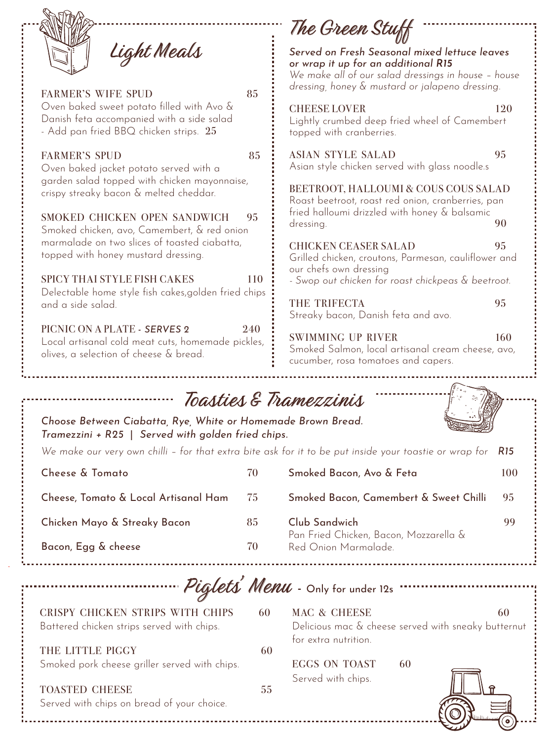|                                                                                                                                  |     | The Green Stuff                                                                                                                                                                                |     |
|----------------------------------------------------------------------------------------------------------------------------------|-----|------------------------------------------------------------------------------------------------------------------------------------------------------------------------------------------------|-----|
| Light Meals<br><b>FARMER'S WIFE SPUD</b>                                                                                         | 85  | Served on Fresh Seasonal mixed lettuce leaves<br>or wrap it up for an additional R15<br>We make all of our salad dressings in house - house<br>dressing, honey & mustard or jalapeno dressing. |     |
| Oven baked sweet potato filled with Avo &<br>Danish feta accompanied with a side salad<br>- Add pan fried BBQ chicken strips. 25 |     | <b>CHEESE LOVER</b><br>Lightly crumbed deep fried wheel of Camembert<br>topped with cranberries.                                                                                               | 120 |
| <b>FARMER'S SPUD</b><br>Oven baked jacket potato served with a                                                                   | 85  | <b>ASIAN STYLE SALAD</b><br>Asian style chicken served with glass noodle.s                                                                                                                     | 95  |
| garden salad topped with chicken mayonnaise,<br>crispy streaky bacon & melted cheddar.                                           |     | BEETROOT, HALLOUMI & COUS COUS SALAD<br>Roast beetroot, roast red onion, cranberries, pan                                                                                                      |     |
| SMOKED CHICKEN OPEN SANDWICH<br>Smoked chicken, avo, Camembert, & red onion                                                      | 95  | fried halloumi drizzled with honey & balsamic<br>dressing.                                                                                                                                     | 90  |
| marmalade on two slices of toasted ciabatta,<br>topped with honey mustard dressing.                                              |     | <b>CHICKEN CEASER SALAD</b><br>Grilled chicken, croutons, Parmesan, cauliflower and<br>our chefs own dressing                                                                                  | 95  |
| <b>SPICY THAI STYLE FISH CAKES</b><br>Delectable home style fish cakes, golden fried chips                                       | 110 | - Swop out chicken for roast chickpeas & beetroot.                                                                                                                                             |     |
| and a side salad.                                                                                                                |     | THE TRIFECTA<br>Streaky bacon, Danish feta and avo.                                                                                                                                            | 95  |
| PICNIC ON A PLATE - SERVES 2<br>Local artisanal cold meat cuts, homemade pickles,<br>olives, a selection of cheese & bread.      | 240 | <b>SWIMMING UP RIVER</b><br>Smoked Salmon, local artisanal cream cheese, avo,<br>cucumber, rosa tomatoes and capers.                                                                           | 160 |

| Toasties & Tramezzinis |
|------------------------|
|                        |

*Choose Between Ciabatta, Rye, White or Homemade Brown Bread. Tramezzini + R25* | *Served with golden fried chips.*

*We make our very own chilli – for that extra bite ask for it to be put inside your toastie or wrap for R15*

| Cheese & Tomato                      | 70   | Smoked Bacon, Avo & Feta                                | 100 |
|--------------------------------------|------|---------------------------------------------------------|-----|
| Cheese, Tomato & Local Artisanal Ham | - 75 | Smoked Bacon, Camembert & Sweet Chilli                  | 95  |
| Chicken Mayo & Streaky Bacon         | 85   | Club Sandwich<br>Pan Fried Chicken, Bacon, Mozzarella & | 99  |
| Bacon, Egg & cheese                  | 70   | Red Onion Marmalade.                                    |     |

Piglets' Menu - Only for under 12s

| CRISPY CHICKEN STRIPS WITH CHIPS<br>Battered chicken strips served with chips. | 60  | MAC & CHEESE                                 |    | 60<br>Delicious mac & cheese served with sneaky butternut |
|--------------------------------------------------------------------------------|-----|----------------------------------------------|----|-----------------------------------------------------------|
| THE LITTLE PIGGY<br>Smoked pork cheese griller served with chips.              | 60  | for extra nutrition.<br><b>EGGS ON TOAST</b> | 60 |                                                           |
| <b>TOASTED CHEESE</b><br>Served with chips on bread of your choice.            | 55. | Served with chips.                           |    |                                                           |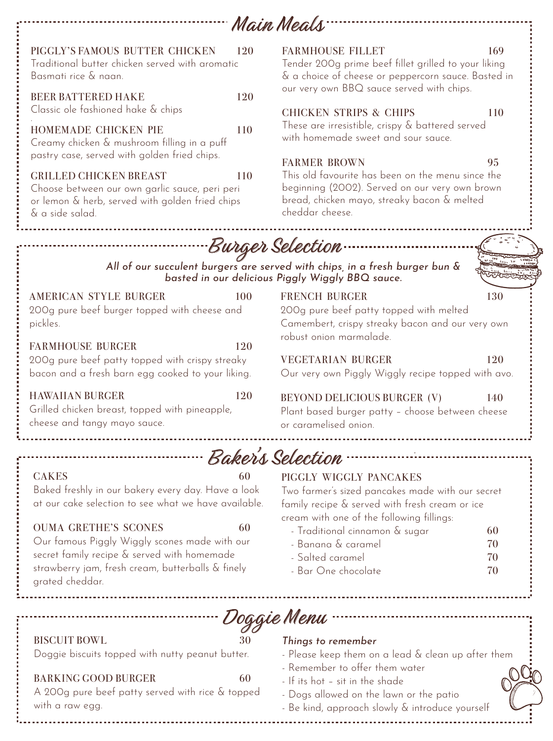|                                                                                                                                                                                                           | Main Meals                                                                                                                                                            |
|-----------------------------------------------------------------------------------------------------------------------------------------------------------------------------------------------------------|-----------------------------------------------------------------------------------------------------------------------------------------------------------------------|
| PIGGLY'S FAMOUS BUTTER CHICKEN<br>120<br>Traditional butter chicken served with aromatic<br>Basmati rice & naan.                                                                                          | <b>FARMHOUSE FILLET</b><br>169<br>Tender 200g prime beef fillet grilled to your liking<br>& a choice of cheese or peppercorn sauce. Basted in                         |
| <b>BEER BATTERED HAKE</b><br>120<br>Classic ole fashioned hake & chips                                                                                                                                    | our very own BBQ sauce served with chips.<br><b>CHICKEN STRIPS &amp; CHIPS</b><br>110                                                                                 |
| HOMEMADE CHICKEN PIE<br>110<br>Creamy chicken & mushroom filling in a puff<br>pastry case, served with golden fried chips.                                                                                | These are irresistible, crispy & battered served<br>with homemade sweet and sour sauce.<br><b>FARMER BROWN</b><br>95                                                  |
| <b>GRILLED CHICKEN BREAST</b><br>110<br>Choose between our own garlic sauce, peri peri<br>or lemon & herb, served with golden fried chips<br>& a side salad.                                              | This old favourite has been on the menu since the<br>beginning (2002). Served on our very own brown<br>bread, chicken mayo, streaky bacon & melted<br>cheddar cheese. |
|                                                                                                                                                                                                           | ·Burger Selection                                                                                                                                                     |
|                                                                                                                                                                                                           | All of our succulent burgers are served with chips, in a fresh burger bun &<br>basted in our delicious Piggly Wiggly BBQ sauce.                                       |
| <b>AMERICAN STYLE BURGER</b><br>100<br>200g pure beef burger topped with cheese and<br>pickles.                                                                                                           | <b>FRENCH BURGER</b><br>130<br>200g pure beef patty topped with melted<br>Camembert, crispy streaky bacon and our very own                                            |
| <b>FARMHOUSE BURGER</b><br>120<br>200g pure beef patty topped with crispy streaky<br>bacon and a fresh barn egg cooked to your liking.                                                                    | robust onion marmalade.<br><b>VEGETARIAN BURGER</b><br>120<br>Our very own Piggly Wiggly recipe topped with avo.                                                      |
| <b>HAWAIIAN BURGER</b><br>120<br>Grilled chicken breast, topped with pineapple,<br>cheese and tangy mayo sauce.                                                                                           | BEYOND DELICIOUS BURGER (V)<br>140<br>Plant based burger patty - choose between cheese<br>or caramelised onion.                                                       |
|                                                                                                                                                                                                           | Baker's Selection -                                                                                                                                                   |
| <b>CAKES</b><br>60<br>Baked freshly in our bakery every day. Have a look<br>at our cake selection to see what we have available.                                                                          | PIGGLY WIGGLY PANCAKES<br>Two farmer's sized pancakes made with our secret<br>family recipe & served with fresh cream or ice                                          |
| <b>OUMA GRETHE'S SCONES</b><br>60<br>Our famous Piggly Wiggly scones made with our<br>secret family recipe & served with homemade<br>strawberry jam, fresh cream, butterballs & finely<br>grated cheddar. | cream with one of the following fillings:<br>- Traditional cinnamon & sugar<br>60<br>- Banana & caramel<br>70<br>- Salted caramel<br>70<br>- Bar One chocolate<br>70  |
|                                                                                                                                                                                                           |                                                                                                                                                                       |
| 30<br><b>BISCUIT BOWL</b><br>Doggie biscuits topped with nutty peanut butter.<br><b>BARKING GOOD BURGER</b><br>60                                                                                         | Doggie Menu<br>Things to remember<br>- Please keep them on a lead & clean up after them<br>- Remember to offer them water                                             |
|                                                                                                                                                                                                           | - If its hot - sit in the shade                                                                                                                                       |

A 200g pure beef patty served with rice & topped with a raw egg.

- Dogs allowed on the lawn or the patio

- Be kind, approach slowly & introduce yourself